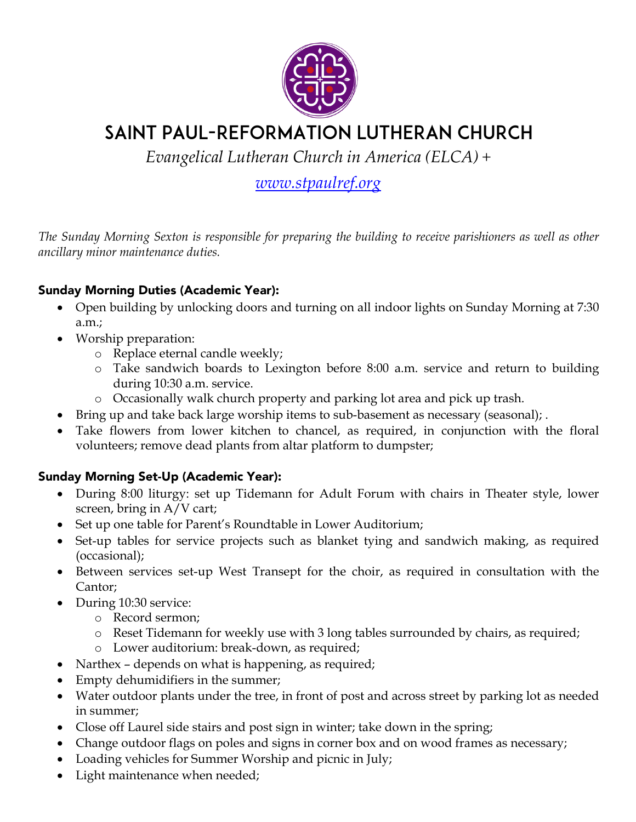

# Saint Paul-Reformation Lutheran Church

*Evangelical Lutheran Church in America (ELCA) +*

# *www.stpaulref.org*

*The Sunday Morning Sexton is responsible for preparing the building to receive parishioners as well as other ancillary minor maintenance duties.*

## Sunday Morning Duties (Academic Year):

- Open building by unlocking doors and turning on all indoor lights on Sunday Morning at 7:30 a.m.;
- Worship preparation:
	- o Replace eternal candle weekly;
	- o Take sandwich boards to Lexington before 8:00 a.m. service and return to building during 10:30 a.m. service.
	- o Occasionally walk church property and parking lot area and pick up trash.
- Bring up and take back large worship items to sub-basement as necessary (seasonal); .
- Take flowers from lower kitchen to chancel, as required, in conjunction with the floral volunteers; remove dead plants from altar platform to dumpster;

# Sunday Morning Set-Up (Academic Year):

- During 8:00 liturgy: set up Tidemann for Adult Forum with chairs in Theater style, lower screen, bring in A/V cart;
- Set up one table for Parent's Roundtable in Lower Auditorium;
- Set-up tables for service projects such as blanket tying and sandwich making, as required (occasional);
- Between services set-up West Transept for the choir, as required in consultation with the Cantor;
- During 10:30 service:
	- o Record sermon;
	- o Reset Tidemann for weekly use with 3 long tables surrounded by chairs, as required;
	- o Lower auditorium: break-down, as required;
- Narthex depends on what is happening, as required;
- Empty dehumidifiers in the summer;
- Water outdoor plants under the tree, in front of post and across street by parking lot as needed in summer;
- Close off Laurel side stairs and post sign in winter; take down in the spring;
- Change outdoor flags on poles and signs in corner box and on wood frames as necessary;
- Loading vehicles for Summer Worship and picnic in July;
- Light maintenance when needed;